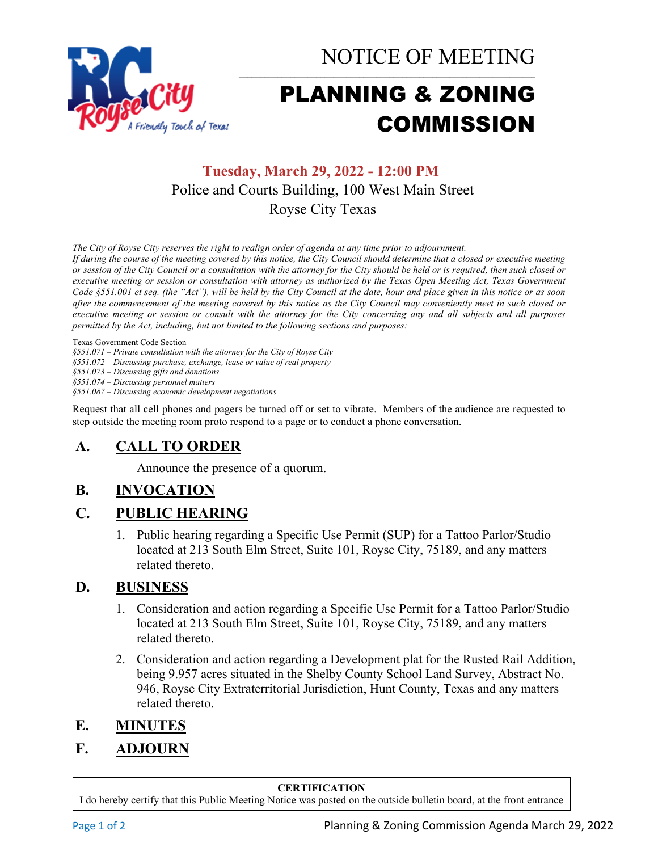

NOTICE OF MEETING

# PLANNING & ZONING COMMISSION

## **Tuesday, March 29, 2022 - 12:00 PM** Police and Courts Building, 100 West Main Street Royse City Texas

*The City of Royse City reserves the right to realign order of agenda at any time prior to adjournment.*

*If during the course of the meeting covered by this notice, the City Council should determine that a closed or executive meeting or session of the City Council or a consultation with the attorney for the City should be held or is required, then such closed or executive meeting or session or consultation with attorney as authorized by the Texas Open Meeting Act, Texas Government Code §551.001 et seq. (the "Act"), will be held by the City Council at the date, hour and place given in this notice or as soon after the commencement of the meeting covered by this notice as the City Council may conveniently meet in such closed or executive meeting or session or consult with the attorney for the City concerning any and all subjects and all purposes permitted by the Act, including, but not limited to the following sections and purposes:*

Texas Government Code Section

*§551.071 – Private consultation with the attorney for the City of Royse City* 

*§551.072 – Discussing purchase, exchange, lease or value of real property* 

*§551.073 – Discussing gifts and donations*

*§551.074 – Discussing personnel matters*

*§551.087 – Discussing economic development negotiations*

Request that all cell phones and pagers be turned off or set to vibrate. Members of the audience are requested to step outside the meeting room proto respond to a page or to conduct a phone conversation.

## **A. CALL TO ORDER**

Announce the presence of a quorum.

## **B. INVOCATION**

#### **C. PUBLIC HEARING**

1. Public hearing regarding a Specific Use Permit (SUP) for a Tattoo Parlor/Studio located at 213 South Elm Street, Suite 101, Royse City, 75189, and any matters related thereto.

#### **D. BUSINESS**

- 1. Consideration and action regarding a Specific Use Permit for a Tattoo Parlor/Studio located at 213 South Elm Street, Suite 101, Royse City, 75189, and any matters related thereto.
- 2. Consideration and action regarding a Development plat for the Rusted Rail Addition, being 9.957 acres situated in the Shelby County School Land Survey, Abstract No. 946, Royse City Extraterritorial Jurisdiction, Hunt County, Texas and any matters related thereto.
- **E. MINUTES**
- **F. ADJOURN**

#### **CERTIFICATION**

I do hereby certify that this Public Meeting Notice was posted on the outside bulletin board, at the front entrance